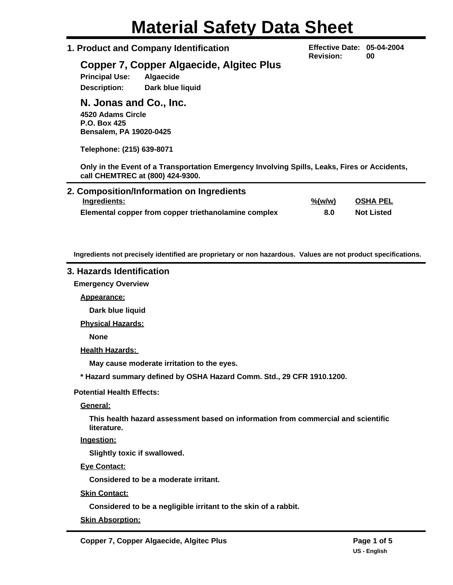# **Material Safety Data Sheet**

## **1. Product and Company Identification**

**Effective Date: 05-04-2004 Revision: 00**

# **Copper 7, Copper Algaecide, Algitec Plus**

**Principal Use: Algaecide Description: Dark blue liquid**

# **N. Jonas and Co., Inc.**

**4520 Adams Circle P.O. Box 425 Bensalem, PA 19020-0425**

**Telephone: (215) 639-8071**

**Only in the Event of a Transportation Emergency Involving Spills, Leaks, Fires or Accidents, call CHEMTREC at (800) 424-9300.**

| 2. Composition/Information on Ingredients            |                     |                   |  |
|------------------------------------------------------|---------------------|-------------------|--|
| Ingredients:                                         | $\frac{\% (w/w)}{}$ | OSHA PEL          |  |
| Elemental copper from copper triethanolamine complex | 8.0                 | <b>Not Listed</b> |  |

**Ingredients not precisely identified are proprietary or non hazardous. Values are not product specifications.**

## **3. Hazards Identification**

**Emergency Overview**

**Appearance:**

**Dark blue liquid**

**Physical Hazards:**

**None**

**Health Hazards:** 

**May cause moderate irritation to the eyes.**

**\* Hazard summary defined by OSHA Hazard Comm. Std., 29 CFR 1910.1200.**

**Potential Health Effects:**

**General:**

**This health hazard assessment based on information from commercial and scientific literature.**

**Ingestion:**

**Slightly toxic if swallowed.**

**Eye Contact:**

**Considered to be a moderate irritant.**

**Skin Contact:**

**Considered to be a negligible irritant to the skin of a rabbit.**

**Skin Absorption:**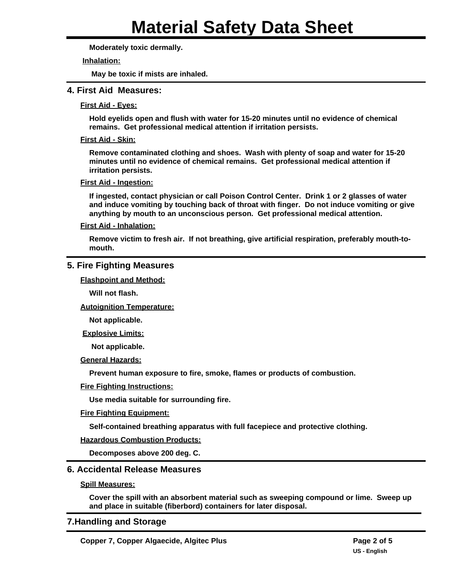**Moderately toxic dermally.**

#### **Inhalation:**

**May be toxic if mists are inhaled.**

## **4. First Aid Measures:**

#### **First Aid - Eyes:**

**Hold eyelids open and flush with water for 15-20 minutes until no evidence of chemical remains. Get professional medical attention if irritation persists.**

#### **First Aid - Skin:**

**Remove contaminated clothing and shoes. Wash with plenty of soap and water for 15-20 minutes until no evidence of chemical remains. Get professional medical attention if irritation persists.**

#### **First Aid - Ingestion:**

**If ingested, contact physician or call Poison Control Center. Drink 1 or 2 glasses of water and induce vomiting by touching back of throat with finger. Do not induce vomiting or give anything by mouth to an unconscious person. Get professional medical attention.**

#### **First Aid - Inhalation:**

**Remove victim to fresh air. If not breathing, give artificial respiration, preferably mouth-tomouth.**

## **5. Fire Fighting Measures**

**Flashpoint and Method:**

**Will not flash.**

**Autoignition Temperature:**

**Not applicable.**

**Explosive Limits:**

**Not applicable.**

**General Hazards:**

**Prevent human exposure to fire, smoke, flames or products of combustion.**

## **Fire Fighting Instructions:**

**Use media suitable for surrounding fire.**

## **Fire Fighting Equipment:**

**Self-contained breathing apparatus with full facepiece and protective clothing.**

## **Hazardous Combustion Products:**

**Decomposes above 200 deg. C.**

## **6. Accidental Release Measures**

#### **Spill Measures:**

**Cover the spill with an absorbent material such as sweeping compound or lime. Sweep up and place in suitable (fiberbord) containers for later disposal.**

## **7.Handling and Storage**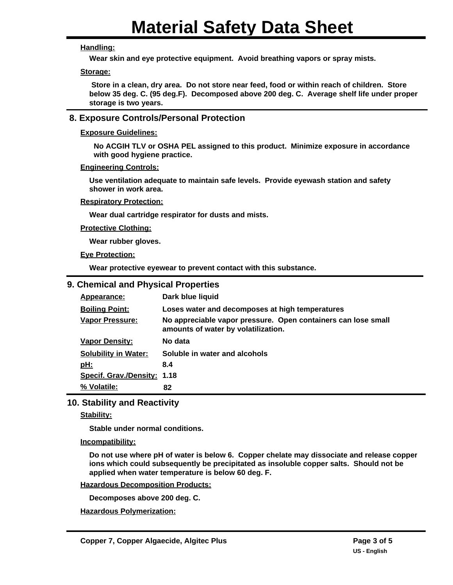## **Handling:**

**Wear skin and eye protective equipment. Avoid breathing vapors or spray mists.**

## **Storage:**

 **Store in a clean, dry area. Do not store near feed, food or within reach of children. Store below 35 deg. C. (95 deg.F). Decomposed above 200 deg. C. Average shelf life under proper storage is two years.**

## **8. Exposure Controls/Personal Protection**

## **Exposure Guidelines:**

**No ACGIH TLV or OSHA PEL assigned to this product. Minimize exposure in accordance with good hygiene practice.**

## **Engineering Controls:**

**Use ventilation adequate to maintain safe levels. Provide eyewash station and safety shower in work area.**

## **Respiratory Protection:**

**Wear dual cartridge respirator for dusts and mists.**

## **Protective Clothing:**

**Wear rubber gloves.**

**Eye Protection:**

**Wear protective eyewear to prevent contact with this substance.**

## **9. Chemical and Physical Properties**

| Appearance:                 | Dark blue liquid                                                                                     |  |  |
|-----------------------------|------------------------------------------------------------------------------------------------------|--|--|
| <b>Boiling Point:</b>       | Loses water and decomposes at high temperatures                                                      |  |  |
| <b>Vapor Pressure:</b>      | No appreciable vapor pressure. Open containers can lose small<br>amounts of water by volatilization. |  |  |
| <b>Vapor Density:</b>       | No data                                                                                              |  |  |
| <b>Solubility in Water:</b> | Soluble in water and alcohols                                                                        |  |  |
| <u>pH:</u>                  | 8.4                                                                                                  |  |  |
| Specif. Grav./Density: 1.18 |                                                                                                      |  |  |
| % Volatile:                 | 82                                                                                                   |  |  |

## **10. Stability and Reactivity**

## **Stability:**

**Stable under normal conditions.**

## **Incompatibility:**

**Do not use where pH of water is below 6. Copper chelate may dissociate and release copper ions which could subsequently be precipitated as insoluble copper salts. Should not be applied when water temperature is below 60 deg. F.**

## **Hazardous Decomposition Products:**

**Decomposes above 200 deg. C.**

**Hazardous Polymerization:**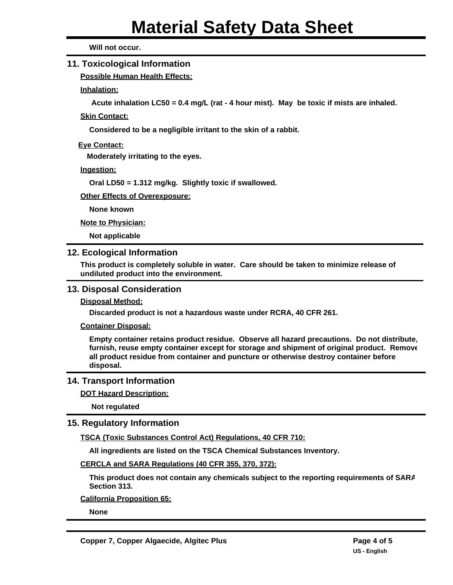**Will not occur.**

## **11. Toxicological Information**

**Possible Human Health Effects:**

**Inhalation:**

**Acute inhalation LC50 = 0.4 mg/L (rat - 4 hour mist). May be toxic if mists are inhaled.**

**Skin Contact:**

**Considered to be a negligible irritant to the skin of a rabbit.**

**Eye Contact:**

**Moderately irritating to the eyes.**

**Ingestion:**

**Oral LD50 = 1.312 mg/kg. Slightly toxic if swallowed.**

**Other Effects of Overexposure:**

**None known**

**Note to Physician:**

**Not applicable**

## **12. Ecological Information**

**This product is completely soluble in water. Care should be taken to minimize release of undiluted product into the environment.**

## **13. Disposal Consideration**

**Disposal Method:**

**Discarded product is not a hazardous waste under RCRA, 40 CFR 261.**

**Container Disposal:**

**Empty container retains product residue. Observe all hazard precautions. Do not distribute, furnish, reuse empty container except for storage and shipment of original product. Remove all product residue from container and puncture or otherwise destroy container before disposal.**

## **14. Transport Information**

**DOT Hazard Description:**

**Not regulated**

## **15. Regulatory Information**

**TSCA (Toxic Substances Control Act) Regulations, 40 CFR 710:**

**All ingredients are listed on the TSCA Chemical Substances Inventory.**

**CERCLA and SARA Regulations (40 CFR 355, 370, 372):**

**This product does not contain any chemicals subject to the reporting requirements of SARA Section 313.**

**California Proposition 65:**

**None**